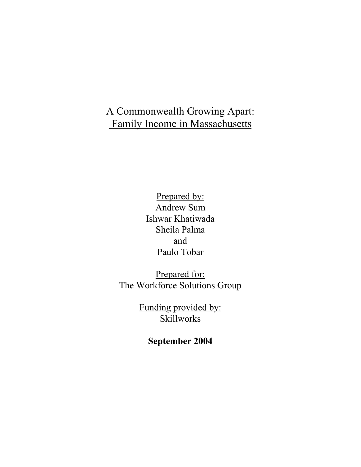# A Commonwealth Growing Apart: Family Income in Massachusetts

Prepared by: Andrew Sum Ishwar Khatiwada Sheila Palma and Paulo Tobar

Prepared for: The Workforce Solutions Group

> Funding provided by: Skillworks

> > **September 2004**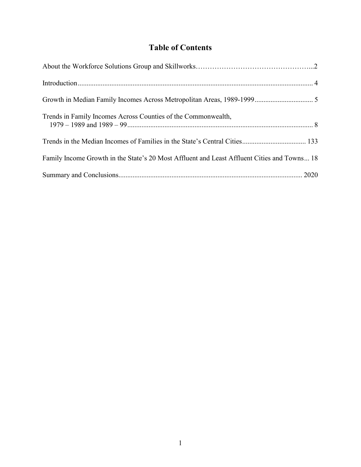## **Table of Contents**

| Trends in Family Incomes Across Counties of the Commonwealth,                               |  |
|---------------------------------------------------------------------------------------------|--|
|                                                                                             |  |
| Family Income Growth in the State's 20 Most Affluent and Least Affluent Cities and Towns 18 |  |
|                                                                                             |  |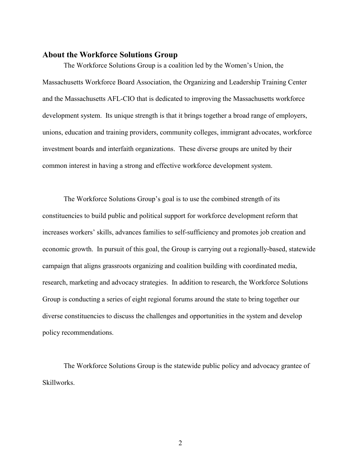#### **About the Workforce Solutions Group**

The Workforce Solutions Group is a coalition led by the Women's Union, the Massachusetts Workforce Board Association, the Organizing and Leadership Training Center and the Massachusetts AFL-CIO that is dedicated to improving the Massachusetts workforce development system. Its unique strength is that it brings together a broad range of employers, unions, education and training providers, community colleges, immigrant advocates, workforce investment boards and interfaith organizations. These diverse groups are united by their common interest in having a strong and effective workforce development system.

The Workforce Solutions Group's goal is to use the combined strength of its constituencies to build public and political support for workforce development reform that increases workers' skills, advances families to self-sufficiency and promotes job creation and economic growth. In pursuit of this goal, the Group is carrying out a regionally-based, statewide campaign that aligns grassroots organizing and coalition building with coordinated media, research, marketing and advocacy strategies. In addition to research, the Workforce Solutions Group is conducting a series of eight regional forums around the state to bring together our diverse constituencies to discuss the challenges and opportunities in the system and develop policy recommendations.

The Workforce Solutions Group is the statewide public policy and advocacy grantee of Skillworks.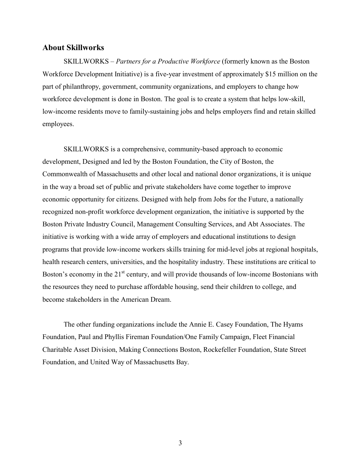#### **About Skillworks**

SKILLWORKS – *Partners for a Productive Workforce* (formerly known as the Boston Workforce Development Initiative) is a five-year investment of approximately \$15 million on the part of philanthropy, government, community organizations, and employers to change how workforce development is done in Boston. The goal is to create a system that helps low-skill, low-income residents move to family-sustaining jobs and helps employers find and retain skilled employees.

SKILLWORKS is a comprehensive, community-based approach to economic development, Designed and led by the Boston Foundation, the City of Boston, the Commonwealth of Massachusetts and other local and national donor organizations, it is unique in the way a broad set of public and private stakeholders have come together to improve economic opportunity for citizens. Designed with help from Jobs for the Future, a nationally recognized non-profit workforce development organization, the initiative is supported by the Boston Private Industry Council, Management Consulting Services, and Abt Associates. The initiative is working with a wide array of employers and educational institutions to design programs that provide low-income workers skills training for mid-level jobs at regional hospitals, health research centers, universities, and the hospitality industry. These institutions are critical to Boston's economy in the  $21<sup>st</sup>$  century, and will provide thousands of low-income Bostonians with the resources they need to purchase affordable housing, send their children to college, and become stakeholders in the American Dream.

The other funding organizations include the Annie E. Casey Foundation, The Hyams Foundation, Paul and Phyllis Fireman Foundation/One Family Campaign, Fleet Financial Charitable Asset Division, Making Connections Boston, Rockefeller Foundation, State Street Foundation, and United Way of Massachusetts Bay.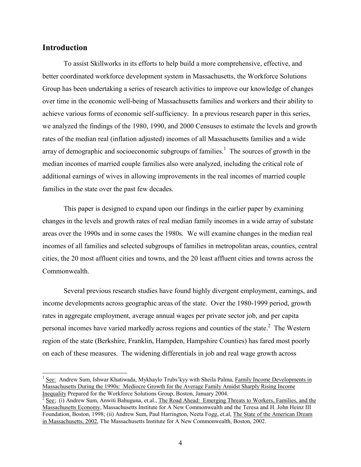## **Introduction**

 $\overline{a}$ 

To assist Skillworks in its efforts to help build a more comprehensive, effective, and better coordinated workforce development system in Massachusetts, the Workforce Solutions Group has been undertaking a series of research activities to improve our knowledge of changes over time in the economic well-being of Massachusetts families and workers and their ability to achieve various forms of economic self-sufficiency. In a previous research paper in this series, we analyzed the findings of the 1980, 1990, and 2000 Censuses to estimate the levels and growth rates of the median real (inflation adjusted) incomes of all Massachusetts families and a wide array of demographic and socioeconomic subgroups of families.<sup>1</sup> The sources of growth in the median incomes of married couple families also were analyzed, including the critical role of additional earnings of wives in allowing improvements in the real incomes of married couple families in the state over the past few decades.

This paper is designed to expand upon our findings in the earlier paper by examining changes in the levels and growth rates of real median family incomes in a wide array of substate areas over the 1990s and in some cases the 1980s. We will examine changes in the median real incomes of all families and selected subgroups of families in metropolitan areas, counties, central cities, the 20 most affluent cities and towns, and the 20 least affluent cities and towns across the Commonwealth.

Several previous research studies have found highly divergent employment, earnings, and income developments across geographic areas of the state. Over the 1980-1999 period, growth rates in aggregate employment, average annual wages per private sector job, and per capita personal incomes have varied markedly across regions and counties of the state. $2$  The Western region of the state (Berkshire, Franklin, Hampden, Hampshire Counties) has fared most poorly on each of these measures. The widening differentials in job and real wage growth across

<sup>1</sup> See: Andrew Sum, Ishwar Khatiwada, Mykhaylo Trubs'kyy with Sheila Palma, Family Income Developments in Massachusetts During the 1990s: Mediocre Growth for the Average Family Amidst Sharply Rising Income Inequality Prepared for the Workforce Solutions Group, Boston, January 2004.

 $2$  See: (i) Andrew Sum, Anwiti Bahuguna, et.al., The Road Ahead: Emerging Threats to Workers, Families, and the Massachusetts Economy, Massachusetts Institute for A New Commonwealth and the Teresa and H. John Heinz III Foundation, Boston, 1998; (ii) Andrew Sum, Paul Harrington, Neeta Fogg, et.al, The State of the American Dream in Massachusetts, 2002, The Massachusetts Institute for A New Commonwealth, Boston, 2002.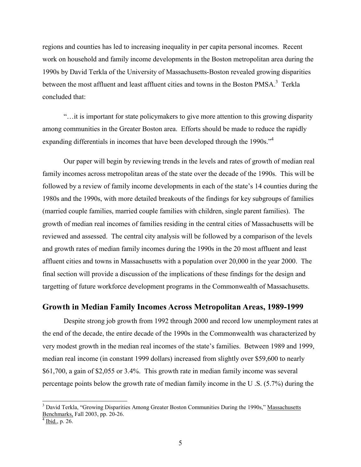regions and counties has led to increasing inequality in per capita personal incomes. Recent work on household and family income developments in the Boston metropolitan area during the 1990s by David Terkla of the University of Massachusetts-Boston revealed growing disparities between the most affluent and least affluent cities and towns in the Boston PMSA.<sup>3</sup> Terkla concluded that:

"…it is important for state policymakers to give more attention to this growing disparity among communities in the Greater Boston area. Efforts should be made to reduce the rapidly expanding differentials in incomes that have been developed through the 1990s.<sup>34</sup>

Our paper will begin by reviewing trends in the levels and rates of growth of median real family incomes across metropolitan areas of the state over the decade of the 1990s. This will be followed by a review of family income developments in each of the state's 14 counties during the 1980s and the 1990s, with more detailed breakouts of the findings for key subgroups of families (married couple families, married couple families with children, single parent families). The growth of median real incomes of families residing in the central cities of Massachusetts will be reviewed and assessed. The central city analysis will be followed by a comparison of the levels and growth rates of median family incomes during the 1990s in the 20 most affluent and least affluent cities and towns in Massachusetts with a population over 20,000 in the year 2000. The final section will provide a discussion of the implications of these findings for the design and targetting of future workforce development programs in the Commonwealth of Massachusetts.

#### **Growth in Median Family Incomes Across Metropolitan Areas, 1989-1999**

Despite strong job growth from 1992 through 2000 and record low unemployment rates at the end of the decade, the entire decade of the 1990s in the Commonwealth was characterized by very modest growth in the median real incomes of the state's families. Between 1989 and 1999, median real income (in constant 1999 dollars) increased from slightly over \$59,600 to nearly \$61,700, a gain of \$2,055 or 3.4%. This growth rate in median family income was several percentage points below the growth rate of median family income in the U .S. (5.7%) during the

 $\overline{a}$ 

<sup>&</sup>lt;sup>3</sup> David Terkla, "Growing Disparities Among Greater Boston Communities During the 1990s," Massachusetts Benchmarks, Fall 2003, pp. 20-26.

 $4$  Ibid., p. 26.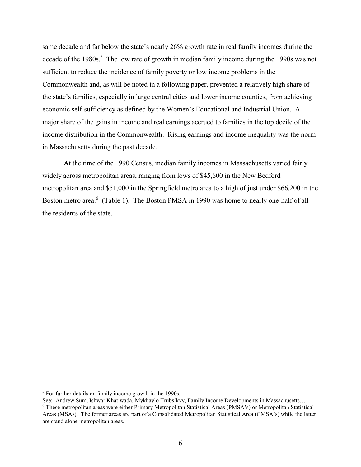same decade and far below the state's nearly 26% growth rate in real family incomes during the decade of the 1980s.<sup>5</sup> The low rate of growth in median family income during the 1990s was not sufficient to reduce the incidence of family poverty or low income problems in the Commonwealth and, as will be noted in a following paper, prevented a relatively high share of the state's families, especially in large central cities and lower income counties, from achieving economic self-sufficiency as defined by the Women's Educational and Industrial Union. A major share of the gains in income and real earnings accrued to families in the top decile of the income distribution in the Commonwealth. Rising earnings and income inequality was the norm in Massachusetts during the past decade.

At the time of the 1990 Census, median family incomes in Massachusetts varied fairly widely across metropolitan areas, ranging from lows of \$45,600 in the New Bedford metropolitan area and \$51,000 in the Springfield metro area to a high of just under \$66,200 in the Boston metro area.<sup>6</sup> (Table 1). The Boston PMSA in 1990 was home to nearly one-half of all the residents of the state.

l

 $<sup>5</sup>$  For further details on family income growth in the 1990s,</sup>

See: Andrew Sum, Ishwar Khatiwada, Mykhaylo Trubs'kyy, <u>Family Income Developments in Massachusetts...</u><br><sup>6</sup> These metropolitan areas were either Primary Metropolitan Statistical Areas (PMSA's) or Metropolitan Statistical Areas (MSAs). The former areas are part of a Consolidated Metropolitan Statistical Area (CMSA's) while the latter are stand alone metropolitan areas.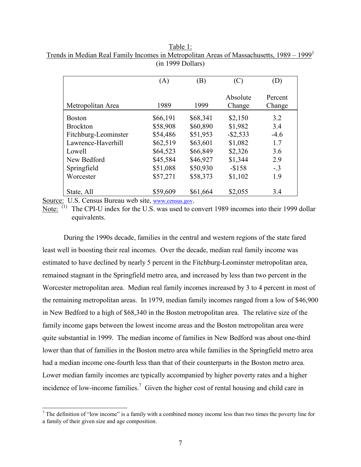|                      | (A)      | (B)      | (C)                | (D)               |
|----------------------|----------|----------|--------------------|-------------------|
| Metropolitan Area    | 1989     | 1999     | Absolute<br>Change | Percent<br>Change |
| <b>Boston</b>        | \$66,191 | \$68,341 | \$2,150            | 3.2               |
| <b>Brockton</b>      | \$58,908 | \$60,890 | \$1,982            | 3.4               |
| Fitchburg-Leominster | \$54,486 | \$51,953 | $-$ \$2,533        | $-4.6$            |
| Lawrence-Haverhill   | \$62,519 | \$63,601 | \$1,082            | 1.7               |
| Lowell               | \$64,523 | \$66,849 | \$2,326            | 3.6               |
| New Bedford          | \$45,584 | \$46,927 | \$1,344            | 2.9               |
| Springfield          | \$51,088 | \$50,930 | $-$158$            | $-.3$             |
| Worcester            | \$57,271 | \$58,373 | \$1,102            | 1.9               |
| State, All           | \$59,609 | \$61,664 | \$2,055            | 3.4               |

Table 1: Trends in Median Real Family Incomes in Metropolitan Areas of Massachusetts, 1989 – 1999<sup>1</sup> (in 1999 Dollars)

Source: U.S. Census Bureau web site, www.census.gov.

 $\overline{\phantom{a}}$ 

Note:  $\overline{N}$  The CPI-U index for the U.S. was used to convert 1989 incomes into their 1999 dollar equivalents.

During the 1990s decade, families in the central and western regions of the state fared least well in boosting their real incomes. Over the decade, median real family income was estimated to have declined by nearly 5 percent in the Fitchburg-Leominster metropolitan area, remained stagnant in the Springfield metro area, and increased by less than two percent in the Worcester metropolitan area. Median real family incomes increased by 3 to 4 percent in most of the remaining metropolitan areas. In 1979, median family incomes ranged from a low of \$46,900 in New Bedford to a high of \$68,340 in the Boston metropolitan area. The relative size of the family income gaps between the lowest income areas and the Boston metropolitan area were quite substantial in 1999. The median income of families in New Bedford was about one-third lower than that of families in the Boston metro area while families in the Springfield metro area had a median income one-fourth less than that of their counterparts in the Boston metro area. Lower median family incomes are typically accompanied by higher poverty rates and a higher incidence of low-income families.<sup>7</sup> Given the higher cost of rental housing and child care in

<sup>&</sup>lt;sup>7</sup> The definition of "low income" is a family with a combined money income less than two times the poverty line for a family of their given size and age composition.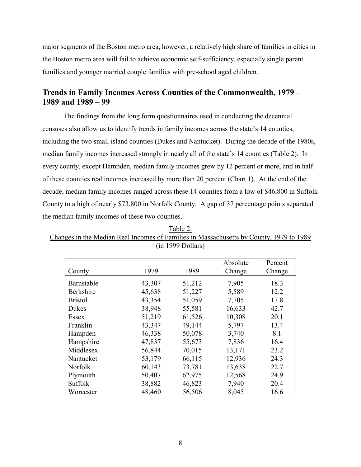major segments of the Boston metro area, however, a relatively high share of families in cities in the Boston metro area will fail to achieve economic self-sufficiency, especially single parent families and younger married couple families with pre-school aged children.

## **Trends in Family Incomes Across Counties of the Commonwealth, 1979 – 1989 and 1989 – 99**

The findings from the long form questionnaires used in conducting the decennial censuses also allow us to identify trends in family incomes across the state's 14 counties, including the two small island counties (Dukes and Nantucket). During the decade of the 1980s, median family incomes increased strongly in nearly all of the state's 14 counties (Table 2). In every county, except Hampden, median family incomes grew by 12 percent or more, and in half of these counties real incomes increased by more than 20 percent (Chart 1). At the end of the decade, median family incomes ranged across these 14 counties from a low of \$46,800 in Suffolk County to a high of nearly \$73,800 in Norfolk County. A gap of 37 percentage points separated the median family incomes of these two counties.

|                |        |        | Absolute | Percent |
|----------------|--------|--------|----------|---------|
| County         | 1979   | 1989   | Change   | Change  |
| Barnstable     | 43,307 | 51,212 | 7,905    | 18.3    |
| Berkshire      | 45,638 | 51,227 | 5,589    | 12.2    |
| <b>Bristol</b> | 43,354 | 51,059 | 7,705    | 17.8    |
| Dukes          | 38,948 | 55,581 | 16,633   | 42.7    |
| <b>Essex</b>   | 51,219 | 61,526 | 10,308   | 20.1    |
| Franklin       | 43,347 | 49,144 | 5,797    | 13.4    |
| Hampden        | 46,338 | 50,078 | 3,740    | 8.1     |
| Hampshire      | 47,837 | 55,673 | 7,836    | 16.4    |
| Middlesex      | 56,844 | 70,015 | 13,171   | 23.2    |
| Nantucket      | 53,179 | 66,115 | 12,936   | 24.3    |
| <b>Norfolk</b> | 60,143 | 73,781 | 13,638   | 22.7    |
| Plymouth       | 50,407 | 62,975 | 12,568   | 24.9    |
| Suffolk        | 38,882 | 46,823 | 7,940    | 20.4    |
| Worcester      | 48,460 | 56,506 | 8,045    | 16.6    |

Table 2: Changes in the Median Real Incomes of Families in Massachusetts by County, 1979 to 1989 (in 1999 Dollars)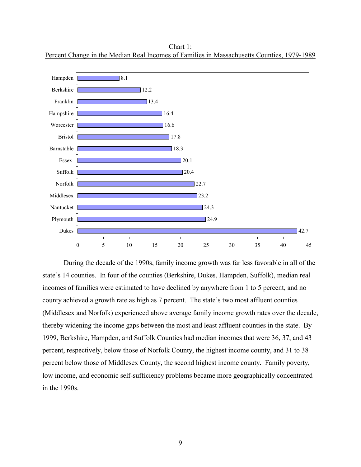

Chart 1: Percent Change in the Median Real Incomes of Families in Massachusetts Counties, 1979-1989

During the decade of the 1990s, family income growth was far less favorable in all of the state's 14 counties. In four of the counties (Berkshire, Dukes, Hampden, Suffolk), median real incomes of families were estimated to have declined by anywhere from 1 to 5 percent, and no county achieved a growth rate as high as 7 percent. The state's two most affluent counties (Middlesex and Norfolk) experienced above average family income growth rates over the decade, thereby widening the income gaps between the most and least affluent counties in the state. By 1999, Berkshire, Hampden, and Suffolk Counties had median incomes that were 36, 37, and 43 percent, respectively, below those of Norfolk County, the highest income county, and 31 to 38 percent below those of Middlesex County, the second highest income county. Family poverty, low income, and economic self-sufficiency problems became more geographically concentrated in the 1990s.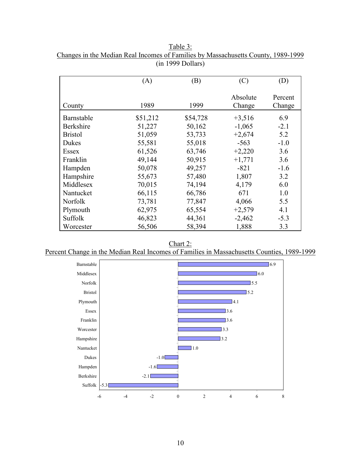|                | (A)      | (B)      | (C)                | (D)               |
|----------------|----------|----------|--------------------|-------------------|
| County         | 1989     | 1999     | Absolute<br>Change | Percent<br>Change |
| Barnstable     | \$51,212 | \$54,728 | $+3,516$           | 6.9               |
| Berkshire      | 51,227   | 50,162   | $-1,065$           | $-2.1$            |
| <b>Bristol</b> | 51,059   | 53,733   | $+2,674$           | 5.2               |
| Dukes          | 55,581   | 55,018   | $-563$             | $-1.0$            |
| Essex          | 61,526   | 63,746   | $+2,220$           | 3.6               |
| Franklin       | 49,144   | 50,915   | $+1,771$           | 3.6               |
| Hampden        | 50,078   | 49,257   | $-821$             | $-1.6$            |
| Hampshire      | 55,673   | 57,480   | 1,807              | 3.2               |
| Middlesex      | 70,015   | 74,194   | 4,179              | 6.0               |
| Nantucket      | 66,115   | 66,786   | 671                | 1.0               |
| <b>Norfolk</b> | 73,781   | 77,847   | 4,066              | 5.5               |
| Plymouth       | 62,975   | 65,554   | $+2,579$           | 4.1               |
| Suffolk        | 46,823   | 44,361   | $-2,462$           | $-5.3$            |
| Worcester      | 56,506   | 58,394   | 1,888              | 3.3               |

Table 3: Changes in the Median Real Incomes of Families by Massachusetts County, 1989-1999 (in 1999 Dollars)

Chart 2: Percent Change in the Median Real Incomes of Families in Massachusetts Counties, 1989-1999

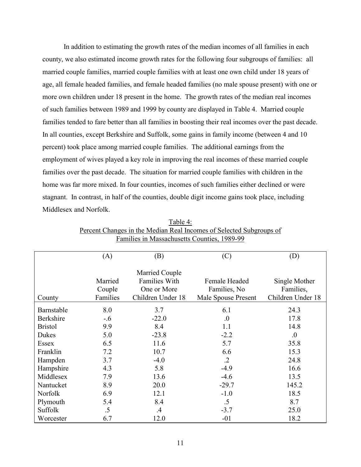In addition to estimating the growth rates of the median incomes of all families in each county, we also estimated income growth rates for the following four subgroups of families: all married couple families, married couple families with at least one own child under 18 years of age, all female headed families, and female headed families (no male spouse present) with one or more own children under 18 present in the home. The growth rates of the median real incomes of such families between 1989 and 1999 by county are displayed in Table 4. Married couple families tended to fare better than all families in boosting their real incomes over the past decade. In all counties, except Berkshire and Suffolk, some gains in family income (between 4 and 10 percent) took place among married couple families. The additional earnings from the employment of wives played a key role in improving the real incomes of these married couple families over the past decade. The situation for married couple families with children in the home was far more mixed. In four counties, incomes of such families either declined or were stagnant. In contrast, in half of the counties, double digit income gains took place, including Middlesex and Norfolk.

|                  | (A)      | (B)                  | (C)                 | (D)               |
|------------------|----------|----------------------|---------------------|-------------------|
|                  |          |                      |                     |                   |
|                  |          | Married Couple       |                     |                   |
|                  | Married  | <b>Families With</b> | Female Headed       | Single Mother     |
|                  | Couple   | One or More          | Families, No.       | Families,         |
| County           | Families | Children Under 18    | Male Spouse Present | Children Under 18 |
| Barnstable       | 8.0      | 3.7                  | 6.1                 | 24.3              |
| <b>Berkshire</b> | $-0.6$   | $-22.0$              | 0.                  | 17.8              |
| <b>Bristol</b>   | 9.9      | 8.4                  | 1.1                 | 14.8              |
| Dukes            | 5.0      | $-23.8$              | $-2.2$              | $\overline{0}$ .  |
| Essex            | 6.5      | 11.6                 | 5.7                 | 35.8              |
| Franklin         | 7.2      | 10.7                 | 6.6                 | 15.3              |
| Hampden          | 3.7      | $-4.0$               | $\cdot$ .2          | 24.8              |
| Hampshire        | 4.3      | 5.8                  | $-4.9$              | 16.6              |
| Middlesex        | 7.9      | 13.6                 | $-4.6$              | 13.5              |
| Nantucket        | 8.9      | 20.0                 | $-29.7$             | 145.2             |
| <b>Norfolk</b>   | 6.9      | 12.1                 | $-1.0$              | 18.5              |
| Plymouth         | 5.4      | 8.4                  | .5                  | 8.7               |
| Suffolk          | .5       | $.4\,$               | $-3.7$              | 25.0              |
| Worcester        | 6.7      | 12.0                 | $-01$               | 18.2              |

Table 4: Percent Changes in the Median Real Incomes of Selected Subgroups of Families in Massachusetts Counties, 1989-99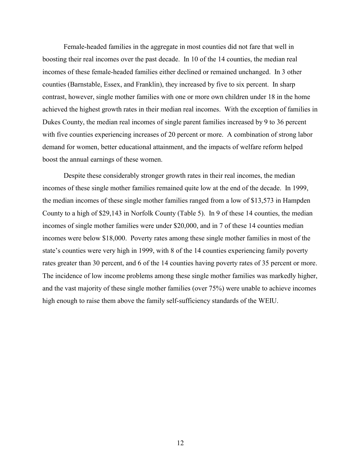Female-headed families in the aggregate in most counties did not fare that well in boosting their real incomes over the past decade. In 10 of the 14 counties, the median real incomes of these female-headed families either declined or remained unchanged. In 3 other counties (Barnstable, Essex, and Franklin), they increased by five to six percent. In sharp contrast, however, single mother families with one or more own children under 18 in the home achieved the highest growth rates in their median real incomes. With the exception of families in Dukes County, the median real incomes of single parent families increased by 9 to 36 percent with five counties experiencing increases of 20 percent or more. A combination of strong labor demand for women, better educational attainment, and the impacts of welfare reform helped boost the annual earnings of these women.

Despite these considerably stronger growth rates in their real incomes, the median incomes of these single mother families remained quite low at the end of the decade. In 1999, the median incomes of these single mother families ranged from a low of \$13,573 in Hampden County to a high of \$29,143 in Norfolk County (Table 5). In 9 of these 14 counties, the median incomes of single mother families were under \$20,000, and in 7 of these 14 counties median incomes were below \$18,000. Poverty rates among these single mother families in most of the state's counties were very high in 1999, with 8 of the 14 counties experiencing family poverty rates greater than 30 percent, and 6 of the 14 counties having poverty rates of 35 percent or more. The incidence of low income problems among these single mother families was markedly higher, and the vast majority of these single mother families (over 75%) were unable to achieve incomes high enough to raise them above the family self-sufficiency standards of the WEIU.

12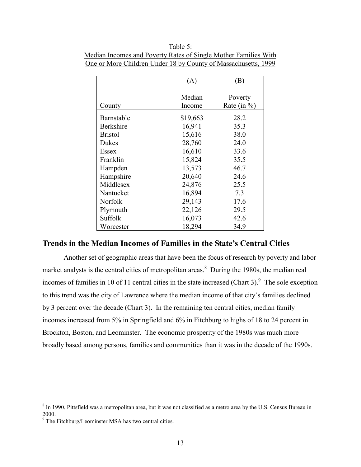|                | (A)              | (B)                        |
|----------------|------------------|----------------------------|
| County         | Median<br>Income | Poverty<br>Rate (in $\%$ ) |
|                |                  |                            |
| Barnstable     | \$19,663         | 28.2                       |
| Berkshire      | 16,941           | 35.3                       |
| <b>Bristol</b> | 15,616           | 38.0                       |
| Dukes          | 28,760           | 24.0                       |
| Essex          | 16,610           | 33.6                       |
| Franklin       | 15,824           | 35.5                       |
| Hampden        | 13,573           | 46.7                       |
| Hampshire      | 20,640           | 24.6                       |
| Middlesex      | 24,876           | 25.5                       |
| Nantucket      | 16,894           | 7.3                        |
| Norfolk        | 29,143           | 17.6                       |
| Plymouth       | 22,126           | 29.5                       |
| Suffolk        | 16,073           | 42.6                       |
| Worcester      | 18,294           | 34.9                       |

Table 5: Median Incomes and Poverty Rates of Single Mother Families With One or More Children Under 18 by County of Massachusetts, 1999

#### **Trends in the Median Incomes of Families in the State's Central Cities**

Another set of geographic areas that have been the focus of research by poverty and labor market analysts is the central cities of metropolitan areas.<sup>8</sup> During the 1980s, the median real incomes of families in 10 of 11 central cities in the state increased (Chart 3). <sup>9</sup> The sole exception to this trend was the city of Lawrence where the median income of that city's families declined by 3 percent over the decade (Chart 3). In the remaining ten central cities, median family incomes increased from 5% in Springfield and 6% in Fitchburg to highs of 18 to 24 percent in Brockton, Boston, and Leominster. The economic prosperity of the 1980s was much more broadly based among persons, families and communities than it was in the decade of the 1990s.

<sup>&</sup>lt;sup>8</sup> In 1990, Pittsfield was a metropolitan area, but it was not classified as a metro area by the U.S. Census Bureau in 2000.

<sup>&</sup>lt;sup>9</sup> The Fitchburg/Leominster MSA has two central cities.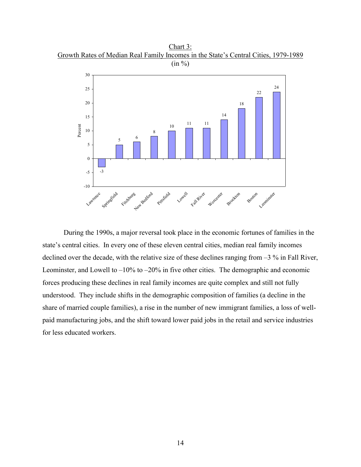Chart 3: Growth Rates of Median Real Family Incomes in the State's Central Cities, 1979-1989



During the 1990s, a major reversal took place in the economic fortunes of families in the state's central cities. In every one of these eleven central cities, median real family incomes declined over the decade, with the relative size of these declines ranging from –3 % in Fall River, Leominster, and Lowell to  $-10\%$  to  $-20\%$  in five other cities. The demographic and economic forces producing these declines in real family incomes are quite complex and still not fully understood. They include shifts in the demographic composition of families (a decline in the share of married couple families), a rise in the number of new immigrant families, a loss of wellpaid manufacturing jobs, and the shift toward lower paid jobs in the retail and service industries for less educated workers.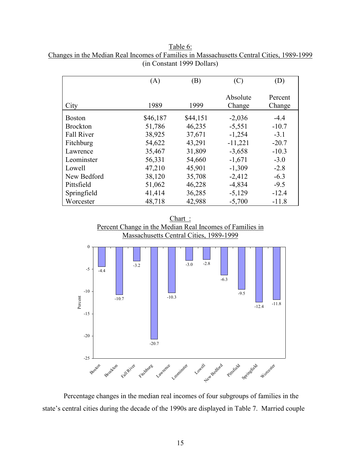| Table 6:                                                                                  |  |
|-------------------------------------------------------------------------------------------|--|
| Changes in the Median Real Incomes of Families in Massachusetts Central Cities, 1989-1999 |  |
| (in Constant 1999 Dollars)                                                                |  |

|                   | (A)      | (B)      | (C)                | (D)               |
|-------------------|----------|----------|--------------------|-------------------|
| City              | 1989     | 1999     | Absolute<br>Change | Percent<br>Change |
| <b>Boston</b>     | \$46,187 | \$44,151 | $-2,036$           | $-4.4$            |
| <b>Brockton</b>   | 51,786   | 46,235   | $-5,551$           | $-10.7$           |
| <b>Fall River</b> | 38,925   | 37,671   | $-1,254$           | $-3.1$            |
| Fitchburg         | 54,622   | 43,291   | $-11,221$          | $-20.7$           |
| Lawrence          | 35,467   | 31,809   | $-3,658$           | $-10.3$           |
| Leominster        | 56,331   | 54,660   | $-1,671$           | $-3.0$            |
| Lowell            | 47,210   | 45,901   | $-1,309$           | $-2.8$            |
| New Bedford       | 38,120   | 35,708   | $-2,412$           | $-6.3$            |
| Pittsfield        | 51,062   | 46,228   | $-4,834$           | $-9.5$            |
| Springfield       | 41,414   | 36,285   | $-5,129$           | $-12.4$           |
| Worcester         | 48,718   | 42,988   | $-5,700$           | $-11.8$           |





Percentage changes in the median real incomes of four subgroups of families in the state's central cities during the decade of the 1990s are displayed in Table 7. Married couple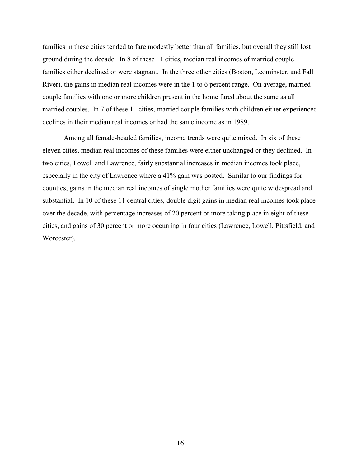families in these cities tended to fare modestly better than all families, but overall they still lost ground during the decade. In 8 of these 11 cities, median real incomes of married couple families either declined or were stagnant. In the three other cities (Boston, Leominster, and Fall River), the gains in median real incomes were in the 1 to 6 percent range. On average, married couple families with one or more children present in the home fared about the same as all married couples. In 7 of these 11 cities, married couple families with children either experienced declines in their median real incomes or had the same income as in 1989.

Among all female-headed families, income trends were quite mixed. In six of these eleven cities, median real incomes of these families were either unchanged or they declined. In two cities, Lowell and Lawrence, fairly substantial increases in median incomes took place, especially in the city of Lawrence where a 41% gain was posted. Similar to our findings for counties, gains in the median real incomes of single mother families were quite widespread and substantial. In 10 of these 11 central cities, double digit gains in median real incomes took place over the decade, with percentage increases of 20 percent or more taking place in eight of these cities, and gains of 30 percent or more occurring in four cities (Lawrence, Lowell, Pittsfield, and Worcester).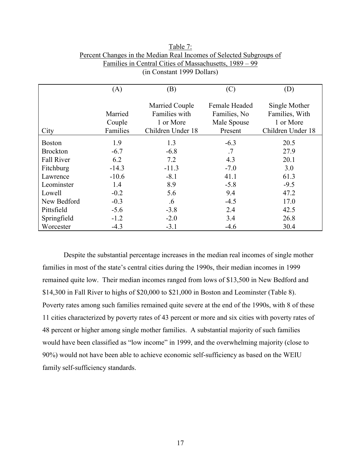|                   | (A)      | (B)               | (C)           | (D)               |
|-------------------|----------|-------------------|---------------|-------------------|
|                   |          | Married Couple    | Female Headed | Single Mother     |
|                   | Married  | Families with     | Families, No. | Families, With    |
|                   | Couple   | 1 or More         | Male Spouse   | 1 or More         |
| City              | Families | Children Under 18 | Present       | Children Under 18 |
| <b>Boston</b>     | 1.9      | 1.3               | $-6.3$        | 20.5              |
| <b>Brockton</b>   | $-6.7$   | $-6.8$            | .7            | 27.9              |
| <b>Fall River</b> | 6.2      | 7.2               | 4.3           | 20.1              |
| Fitchburg         | $-14.3$  | $-11.3$           | $-7.0$        | 3.0               |
| Lawrence          | $-10.6$  | $-8.1$            | 41.1          | 61.3              |
| Leominster        | 1.4      | 8.9               | $-5.8$        | $-9.5$            |
| Lowell            | $-0.2$   | 5.6               | 9.4           | 47.2              |
| New Bedford       | $-0.3$   | .6                | $-4.5$        | 17.0              |
| Pittsfield        | $-5.6$   | $-3.8$            | 2.4           | 42.5              |
| Springfield       | $-1.2$   | $-2.0$            | 3.4           | 26.8              |
| Worcester         | $-4.3$   | $-3.1$            | $-4.6$        | 30.4              |

Table 7: Percent Changes in the Median Real Incomes of Selected Subgroups of Families in Central Cities of Massachusetts, 1989 – 99 (in Constant 1999 Dollars)

Despite the substantial percentage increases in the median real incomes of single mother families in most of the state's central cities during the 1990s, their median incomes in 1999 remained quite low. Their median incomes ranged from lows of \$13,500 in New Bedford and \$14,300 in Fall River to highs of \$20,000 to \$21,000 in Boston and Leominster (Table 8). Poverty rates among such families remained quite severe at the end of the 1990s, with 8 of these 11 cities characterized by poverty rates of 43 percent or more and six cities with poverty rates of 48 percent or higher among single mother families. A substantial majority of such families would have been classified as "low income" in 1999, and the overwhelming majority (close to 90%) would not have been able to achieve economic self-sufficiency as based on the WEIU family self-sufficiency standards.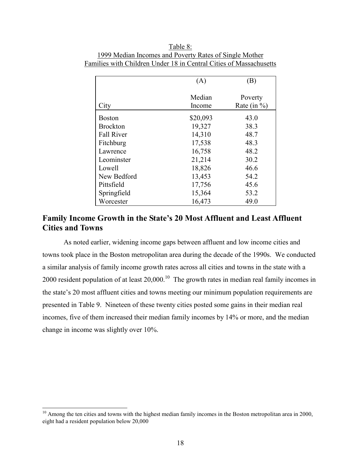|                   | (A)              | (B)                        |
|-------------------|------------------|----------------------------|
| City              | Median<br>Income | Poverty<br>Rate (in $\%$ ) |
| <b>Boston</b>     | \$20,093         | 43.0                       |
| <b>Brockton</b>   | 19,327           | 38.3                       |
| <b>Fall River</b> | 14,310           | 48.7                       |
| Fitchburg         | 17,538           | 48.3                       |
| Lawrence          | 16,758           | 48.2                       |
| Leominster        | 21,214           | 30.2                       |
| Lowell            | 18,826           | 46.6                       |
| New Bedford       | 13,453           | 54.2                       |
| Pittsfield        | 17,756           | 45.6                       |
| Springfield       | 15,364           | 53.2                       |
| Worcester         | 16,473           | 49.0                       |

Table 8: 1999 Median Incomes and Poverty Rates of Single Mother Families with Children Under 18 in Central Cities of Massachusetts

## **Family Income Growth in the State's 20 Most Affluent and Least Affluent Cities and Towns**

As noted earlier, widening income gaps between affluent and low income cities and towns took place in the Boston metropolitan area during the decade of the 1990s. We conducted a similar analysis of family income growth rates across all cities and towns in the state with a 2000 resident population of at least  $20,000$ .<sup>10</sup> The growth rates in median real family incomes in the state's 20 most affluent cities and towns meeting our minimum population requirements are presented in Table 9. Nineteen of these twenty cities posted some gains in their median real incomes, five of them increased their median family incomes by 14% or more, and the median change in income was slightly over 10%.

 $\overline{\phantom{a}}$ 

 $10$  Among the ten cities and towns with the highest median family incomes in the Boston metropolitan area in 2000, eight had a resident population below 20,000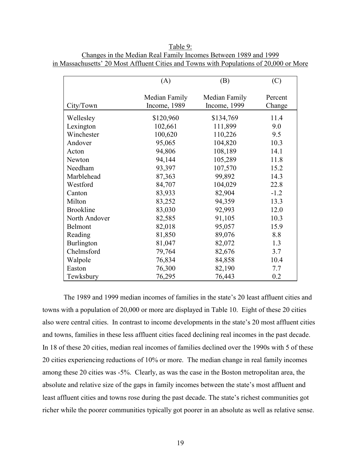Table 9: Changes in the Median Real Family Incomes Between 1989 and 1999 in Massachusetts' 20 Most Affluent Cities and Towns with Populations of 20,000 or More

|                  | (A)                           | (B)                           | (C)               |
|------------------|-------------------------------|-------------------------------|-------------------|
| City/Town        | Median Family<br>Income, 1989 | Median Family<br>Income, 1999 | Percent<br>Change |
| Wellesley        | \$120,960                     | \$134,769                     | 11.4              |
| Lexington        | 102,661                       | 111,899                       | 9.0               |
| Winchester       | 100,620                       | 110,226                       | 9.5               |
| Andover          | 95,065                        | 104,820                       | 10.3              |
| Acton            | 94,806                        | 108,189                       | 14.1              |
| Newton           | 94,144                        | 105,289                       | 11.8              |
| Needham          | 93,397                        | 107,570                       | 15.2              |
| Marblehead       | 87,363                        | 99,892                        | 14.3              |
| Westford         | 84,707                        | 104,029                       | 22.8              |
| Canton           | 83,933                        | 82,904                        | $-1.2$            |
| Milton           | 83,252                        | 94,359                        | 13.3              |
| <b>Brookline</b> | 83,030                        | 92,993                        | 12.0              |
| North Andover    | 82,585                        | 91,105                        | 10.3              |
| Belmont          | 82,018                        | 95,057                        | 15.9              |
| Reading          | 81,850                        | 89,076                        | 8.8               |
| Burlington       | 81,047                        | 82,072                        | 1.3               |
| Chelmsford       | 79,764                        | 82,676                        | 3.7               |
| Walpole          | 76,834                        | 84,858                        | 10.4              |
| Easton           | 76,300                        | 82,190                        | 7.7               |
| Tewksbury        | 76,295                        | 76,443                        | 0.2               |

The 1989 and 1999 median incomes of families in the state's 20 least affluent cities and towns with a population of 20,000 or more are displayed in Table 10. Eight of these 20 cities also were central cities. In contrast to income developments in the state's 20 most affluent cities and towns, families in these less affluent cities faced declining real incomes in the past decade. In 18 of these 20 cities, median real incomes of families declined over the 1990s with 5 of these 20 cities experiencing reductions of 10% or more. The median change in real family incomes among these 20 cities was -5%. Clearly, as was the case in the Boston metropolitan area, the absolute and relative size of the gaps in family incomes between the state's most affluent and least affluent cities and towns rose during the past decade. The state's richest communities got richer while the poorer communities typically got poorer in an absolute as well as relative sense.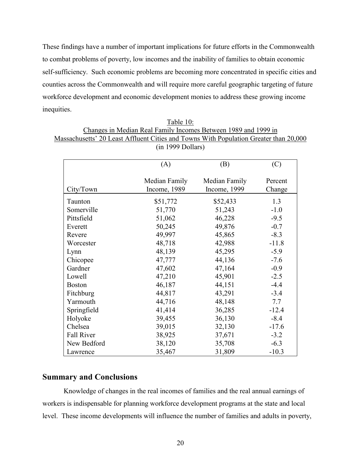These findings have a number of important implications for future efforts in the Commonwealth to combat problems of poverty, low incomes and the inability of families to obtain economic self-sufficiency. Such economic problems are becoming more concentrated in specific cities and counties across the Commonwealth and will require more careful geographic targeting of future workforce development and economic development monies to address these growing income inequities.

| Table 10:                                                                             |
|---------------------------------------------------------------------------------------|
| Changes in Median Real Family Incomes Between 1989 and 1999 in                        |
| Massachusetts' 20 Least Affluent Cities and Towns With Population Greater than 20,000 |
| $(in 1999$ Dollars)                                                                   |

|                   | (A)                           | (B)                           | (C)               |
|-------------------|-------------------------------|-------------------------------|-------------------|
| City/Town         | Median Family<br>Income, 1989 | Median Family<br>Income, 1999 | Percent<br>Change |
| Taunton           | \$51,772                      | \$52,433                      | 1.3               |
| Somerville        | 51,770                        | 51,243                        | $-1.0$            |
| Pittsfield        | 51,062                        | 46,228                        | $-9.5$            |
| Everett           | 50,245                        | 49,876                        | $-0.7$            |
| Revere            | 49,997                        | 45,865                        | $-8.3$            |
| Worcester         | 48,718                        | 42,988                        | $-11.8$           |
| Lynn              | 48,139                        | 45,295                        | $-5.9$            |
| Chicopee          | 47,777                        | 44,136                        | $-7.6$            |
| Gardner           | 47,602                        | 47,164                        | $-0.9$            |
| Lowell            | 47,210                        | 45,901                        | $-2.5$            |
| <b>Boston</b>     | 46,187                        | 44,151                        | $-4.4$            |
| Fitchburg         | 44,817                        | 43,291                        | $-3.4$            |
| Yarmouth          | 44,716                        | 48,148                        | 7.7               |
| Springfield       | 41,414                        | 36,285                        | $-12.4$           |
| Holyoke           | 39,455                        | 36,130                        | $-8.4$            |
| Chelsea           | 39,015                        | 32,130                        | $-17.6$           |
| <b>Fall River</b> | 38,925                        | 37,671                        | $-3.2$            |
| New Bedford       | 38,120                        | 35,708                        | $-6.3$            |
| Lawrence          | 35,467                        | 31,809                        | $-10.3$           |

## **Summary and Conclusions**

Knowledge of changes in the real incomes of families and the real annual earnings of workers is indispensable for planning workforce development programs at the state and local level. These income developments will influence the number of families and adults in poverty,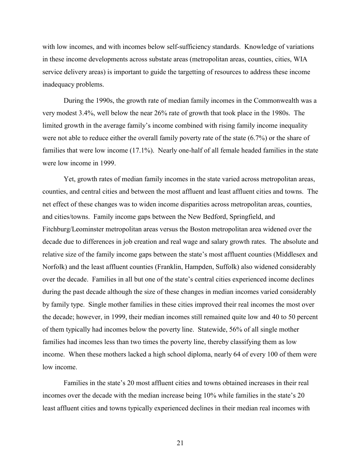with low incomes, and with incomes below self-sufficiency standards. Knowledge of variations in these income developments across substate areas (metropolitan areas, counties, cities, WIA service delivery areas) is important to guide the targetting of resources to address these income inadequacy problems.

During the 1990s, the growth rate of median family incomes in the Commonwealth was a very modest 3.4%, well below the near 26% rate of growth that took place in the 1980s. The limited growth in the average family's income combined with rising family income inequality were not able to reduce either the overall family poverty rate of the state (6.7%) or the share of families that were low income (17.1%). Nearly one-half of all female headed families in the state were low income in 1999.

Yet, growth rates of median family incomes in the state varied across metropolitan areas, counties, and central cities and between the most affluent and least affluent cities and towns. The net effect of these changes was to widen income disparities across metropolitan areas, counties, and cities/towns. Family income gaps between the New Bedford, Springfield, and Fitchburg/Leominster metropolitan areas versus the Boston metropolitan area widened over the decade due to differences in job creation and real wage and salary growth rates. The absolute and relative size of the family income gaps between the state's most affluent counties (Middlesex and Norfolk) and the least affluent counties (Franklin, Hampden, Suffolk) also widened considerably over the decade. Families in all but one of the state's central cities experienced income declines during the past decade although the size of these changes in median incomes varied considerably by family type. Single mother families in these cities improved their real incomes the most over the decade; however, in 1999, their median incomes still remained quite low and 40 to 50 percent of them typically had incomes below the poverty line. Statewide, 56% of all single mother families had incomes less than two times the poverty line, thereby classifying them as low income. When these mothers lacked a high school diploma, nearly 64 of every 100 of them were low income.

Families in the state's 20 most affluent cities and towns obtained increases in their real incomes over the decade with the median increase being 10% while families in the state's 20 least affluent cities and towns typically experienced declines in their median real incomes with

21